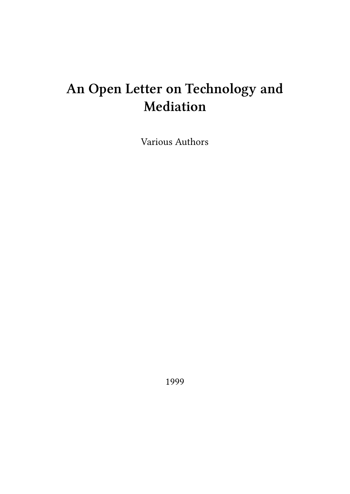# **An Open Letter on Technology and Mediation**

Various Authors

1999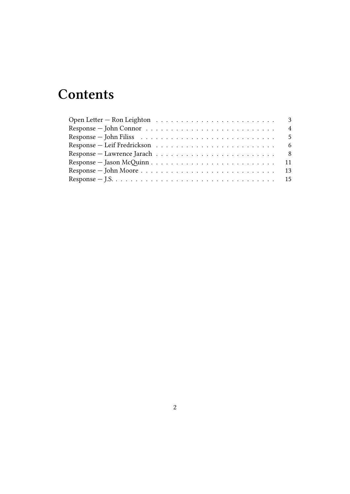## **Contents**

| Response $-J.S. \ldots \ldots \ldots \ldots \ldots \ldots \ldots \ldots \ldots \ldots \ldots \ldots 15$ |  |
|---------------------------------------------------------------------------------------------------------|--|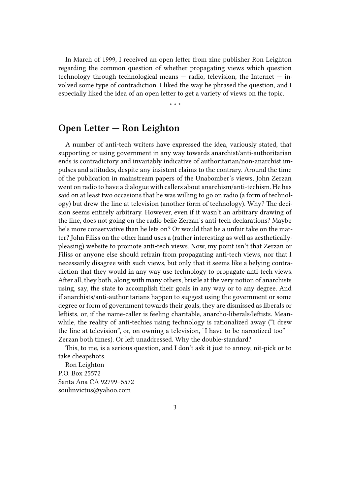In March of 1999, I received an open letter from zine publisher Ron Leighton regarding the common question of whether propagating views which question technology through technological means  $-$  radio, television, the Internet  $-$  involved some type of contradiction. I liked the way he phrased the question, and I especially liked the idea of an open letter to get a variety of views on the topic.

\* \* \*

<span id="page-2-0"></span>**Open Letter — Ron Leighton**

A number of anti-tech writers have expressed the idea, variously stated, that supporting or using government in any way towards anarchist/anti-authoritarian ends is contradictory and invariably indicative of authoritarian/non-anarchist impulses and attitudes, despite any insistent claims to the contrary. Around the time of the publication in mainstream papers of the Unabomber's views, John Zerzan went on radio to have a dialogue with callers about anarchism/anti-techism. He has said on at least two occasions that he was willing to go on radio (a form of technology) but drew the line at television (another form of technology). Why? The decision seems entirely arbitrary. However, even if it wasn't an arbitrary drawing of the line, does not going on the radio belie Zerzan's anti-tech declarations? Maybe he's more conservative than he lets on? Or would that be a unfair take on the matter? John Filiss on the other hand uses a (rather interesting as well as aestheticallypleasing) website to promote anti-tech views. Now, my point isn't that Zerzan or Filiss or anyone else should refrain from propagating anti-tech views, nor that I necessarily disagree with such views, but only that it seems like a belying contradiction that they would in any way use technology to propagate anti-tech views. After all, they both, along with many others, bristle at the very notion of anarchists using, say, the state to accomplish their goals in any way or to any degree. And if anarchists/anti-authoritarians happen to suggest using the government or some degree or form of government towards their goals, they are dismissed as liberals or leftists, or, if the name-caller is feeling charitable, anarcho-liberals/leftists. Meanwhile, the reality of anti-techies using technology is rationalized away ("I drew the line at television", or, on owning a television, "I have to be narcotized too" — Zerzan both times). Or left unaddressed. Why the double-standard?

This, to me, is a serious question, and I don't ask it just to annoy, nit-pick or to take cheapshots.

Ron Leighton P.O. Box 25572 Santa Ana CA 92799–5572 soulinvictus@yahoo.com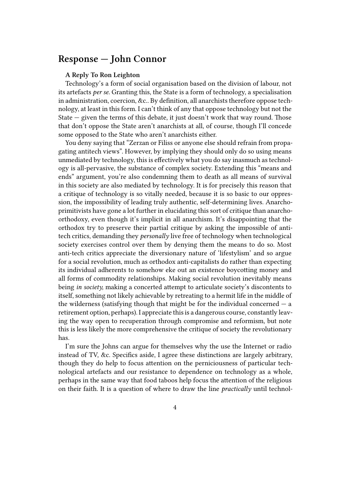#### <span id="page-3-0"></span>**Response — John Connor**

#### **A Reply To Ron Leighton**

Technology's a form of social organisation based on the division of labour, not its artefacts *per se*. Granting this, the State is a form of technology, a specialisation in administration, coercion, &c.. By definition, all anarchists therefore oppose technology, at least in this form. I can't think of any that oppose technology but not the State  $-$  given the terms of this debate, it just doesn't work that way round. Those that don't oppose the State aren't anarchists at all, of course, though I'll concede some opposed to the State who aren't anarchists either.

You deny saying that "Zerzan or Filiss or anyone else should refrain from propagating antitech views". However, by implying they should only do so using means unmediated by technology, this is effectively what you do say inasmuch as technology is all-pervasive, the substance of complex society. Extending this "means and ends" argument, you're also condemning them to death as all means of survival in this society are also mediated by technology. It is for precisely this reason that a critique of technology is so vitally needed, because it is so basic to our oppression, the impossibility of leading truly authentic, self-determining lives. Anarchoprimitivists have gone a lot further in elucidating this sort of critique than anarchoorthodoxy, even though it's implicit in all anarchism. It's disappointing that the orthodox try to preserve their partial critique by asking the impossible of antitech critics, demanding they *personally* live free of technology when technological society exercises control over them by denying them the means to do so. Most anti-tech critics appreciate the diversionary nature of 'lifestylism' and so argue for a social revolution, much as orthodox anti-capitalists do rather than expecting its individual adherents to somehow eke out an existence boycotting money and all forms of commodity relationships. Making social revolution inevitably means being *in society,* making a concerted attempt to articulate society's discontents to itself, something not likely achievable by retreating to a hermit life in the middle of the wilderness (satisfying though that might be for the individual concerned  $-$  a retirement option, perhaps). I appreciate this is a dangerous course, constantly leaving the way open to recuperation through compromise and reformism, but note this is less likely the more comprehensive the critique of society the revolutionary has.

I'm sure the Johns can argue for themselves why the use the Internet or radio instead of TV, &c. Specifics aside, I agree these distinctions are largely arbitrary, though they do help to focus attention on the perniciousness of particular technological artefacts and our resistance to dependence on technology as a whole, perhaps in the same way that food taboos help focus the attention of the religious on their faith. It is a question of where to draw the line *practically* until technol-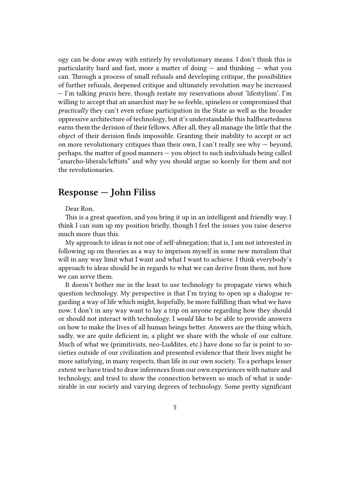ogy can be done away with entirely by revolutionary means. I don't think this is particularity hard and fast, more a matter of doing  $-$  and thinking  $-$  what you can. Through a process of small refusals and developing critique, the possibilities of further refusals, deepened critique and ultimately revolution *may* be increased — I'm talking *praxis* here, though restate my reservations about 'lifestylism'. I'm willing to accept that an anarchist may be so feeble, spineless or compromised that *practically* they can't even refuse participation in the State as well as the broader oppressive architecture of technology, but it's understandable this halfheartedness earns them the derision of their fellows. After all, they all manage the little that the object of their derision finds impossible. Granting their inability to accept or act on more revolutionary critiques than their own, I can't really see why  $-$  beyond, perhaps, the matter of good manners — you object to such individuals being called "anarcho-liberals/leftists" and why you should argue so keenly for them and not the revolutionaries.

## <span id="page-4-0"></span>**Response — John Filiss**

Dear Ron,

This is a great question, and you bring it up in an intelligent and friendly way. I think I can sum up my position briefly, though I feel the issues you raise deserve much more than this.

My approach to ideas is not one of self-abnegation; that is, I am not interested in following up on theories as a way to imprison myself in some new moralism that will in any way limit what I want and what I want to achieve. I think everybody's approach to ideas should be in regards to what we can derive from them, not how we can serve them.

It doesn't bother me in the least to use technology to propagate views which question technology. My perspective is that I'm trying to open up a dialogue regarding a way of life which might, hopefully, be more fulfilling than what we have now. I don't in any way want to lay a trip on anyone regarding how they should or should not interact with technology. I *would* like to be able to provide answers on how to make the lives of all human beings better. Answers are the thing which, sadly, we are quite deficient in, a plight we share with the whole of our culture. Much of what we (primitivists, neo-Luddites, etc.) have done so far is point to societies outside of our civilization and presented evidence that their lives might be more satisfying, in many respects, than life in our own society. To a perhaps lesser extent we have tried to draw inferences from our own experiences with nature and technology, and tried to show the connection between so much of what is undesirable in our society and varying degrees of technology. Some pretty significant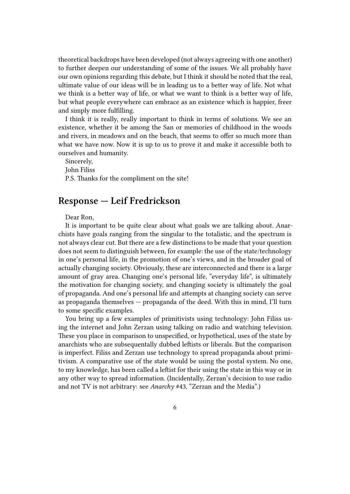theoretical backdrops have been developed (not always agreeing with one another) to further deepen our understanding of some of the issues. We all probably have our own opinions regarding this debate, but I think it should be noted that the real, ultimate value of our ideas will be in leading us to a better way of life. Not what we think is a better way of life, or what we want to think is a better way of life, but what people everywhere can embrace as an existence which is happier, freer and simply more fulfilling.

I think it is really, really important to think in terms of solutions. We see an existence, whether it be among the San or memories of childhood in the woods and rivers, in meadows and on the beach, that seems to offer so much more than what we have now. Now it is up to us to prove it and make it accessible both to ourselves and humanity.

Sincerely, John Filiss P.S. Thanks for the compliment on the site!

#### <span id="page-5-0"></span>**Response — Leif Fredrickson**

Dear Ron,

It is important to be quite clear about what goals we are talking about. Anarchists have goals ranging from the singular to the totalistic, and the spectrum is not always clear cut. But there are a few distinctions to be made that your question does not seem to distinguish between, for example: the use of the state/technology in one's personal life, in the promotion of one's views, and in the broader goal of actually changing society. Obviously, these are interconnected and there is a large amount of gray area. Changing one's personal life, "everyday life", is ultimately the motivation for changing society, and changing society is ultimately the goal of propaganda. And one's personal life and attempts at changing society can serve as propaganda themselves — propaganda of the deed. With this in mind, I'll turn to some specific examples.

You bring up a few examples of primitivists using technology: John Filiss using the internet and John Zerzan using talking on radio and watching television. These you place in comparison to unspecified, or hypothetical, uses of the state by anarchists who are subsequentally dubbed leftists or liberals. But the comparison is imperfect. Filiss and Zerzan use technology to spread propaganda about primitivism. A comparative use of the state would be using the postal system. No one, to my knowledge, has been called a leftist for their using the state in this way or in any other way to spread information. (Incidentally, Zerzan's decision to use radio and not TV is not arbitrary: see *Anarchy* #43, "Zerzan and the Media".)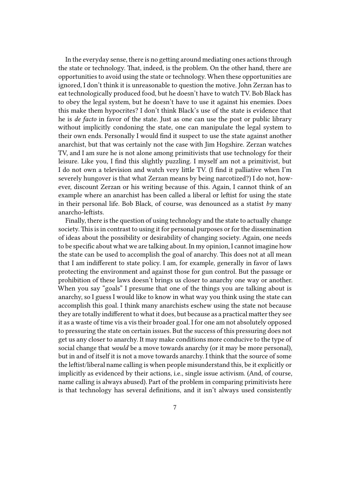In the everyday sense, there is no getting around mediating ones actions through the state or technology. That, indeed, is the problem. On the other hand, there are opportunities to avoid using the state or technology. When these opportunities are ignored, I don't think it is unreasonable to question the motive. John Zerzan has to eat technologically produced food, but he doesn't have to watch TV. Bob Black has to obey the legal system, but he doesn't have to use it against his enemies. Does this make them hypocrites? I don't think Black's use of the state is evidence that he is *de facto* in favor of the state. Just as one can use the post or public library without implicitly condoning the state, one can manipulate the legal system to their own ends. Personally I would find it suspect to use the state against another anarchist, but that was certainly not the case with Jim Hogshire. Zerzan watches TV, and I am sure he is not alone among primitivists that use technology for their leisure. Like you, I find this slightly puzzling. I myself am not a primitivist, but I do not own a television and watch very little TV. (I find it palliative when I'm severely hungover is that what Zerzan means by being narcotized?) I do not, however, discount Zerzan or his writing because of this. Again, I cannot think of an example where an anarchist has been called a liberal or leftist for using the state in their personal life. Bob Black, of course, was denounced as a statist *by* many anarcho-leftists.

Finally, there is the question of using technology and the state to actually change society. This is in contrast to using it for personal purposes or for the dissemination of ideas about the possibility or desirability of changing society. Again, one needs to be specific about what we are talking about. In my opinion, I cannot imagine how the state can be used to accomplish the goal of anarchy. This does not at all mean that I am indifferent to state policy. I am, for example, generally in favor of laws protecting the environment and against those for gun control. But the passage or prohibition of these laws doesn't brings us closer to anarchy one way or another. When you say "goals" I presume that one of the things you are talking about is anarchy, so I guess I would like to know in what way you think using the state can accomplish this goal. I think many anarchists eschew using the state not because they are totally indifferent to what it does, but because as a practical matter they see it as a waste of time vis a vis their broader goal. I for one am not absolutely opposed to pressuring the state on certain issues. But the success of this pressuring does not get us any closer to anarchy. It may make conditions more conducive to the type of social change that *would* be a move towards anarchy (or it may be more personal), but in and of itself it is not a move towards anarchy. I think that the source of some the leftist/liberal name calling is when people misunderstand this, be it explicitly or implicitly as evidenced by their actions, i.e., single issue activism. (And, of course, name calling is always abused). Part of the problem in comparing primitivists here is that technology has several definitions, and it isn't always used consistently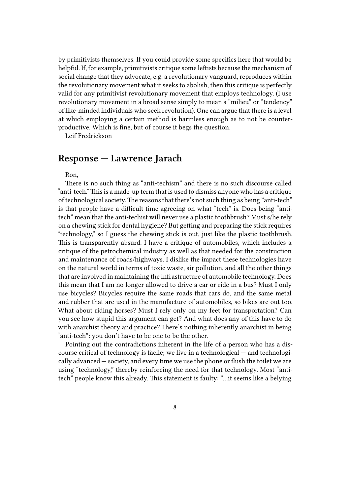by primitivists themselves. If you could provide some specifics here that would be helpful. If, for example, primitivists critique some leftists because the mechanism of social change that they advocate, e.g. a revolutionary vanguard, reproduces within the revolutionary movement what it seeks to abolish, then this critique is perfectly valid for any primitivist revolutionary movement that employs technology. (I use revolutionary movement in a broad sense simply to mean a "milieu" or "tendency" of like-minded individuals who seek revolution). One can argue that there is a level at which employing a certain method is harmless enough as to not be counterproductive. Which is fine, but of course it begs the question.

Leif Fredrickson

#### <span id="page-7-0"></span>**Response — Lawrence Jarach**

Ron,

There is no such thing as "anti-techism" and there is no such discourse called "anti-tech." This is a made-up term that is used to dismiss anyone who has a critique of technological society.The reasons that there's not such thing as being "anti-tech" is that people have a difficult time agreeing on what "tech" is. Does being "antitech" mean that the anti-techist will never use a plastic toothbrush? Must s/he rely on a chewing stick for dental hygiene? But getting and preparing the stick requires "technology," so I guess the chewing stick is out, just like the plastic toothbrush. This is transparently absurd. I have a critique of automobiles, which includes a critique of the petrochemical industry as well as that needed for the construction and maintenance of roads/highways. I dislike the impact these technologies have on the natural world in terms of toxic waste, air pollution, and all the other things that are involved in maintaining the infrastructure of automobile technology. Does this mean that I am no longer allowed to drive a car or ride in a bus? Must I only use bicycles? Bicycles require the same roads that cars do, and the same metal and rubber that are used in the manufacture of automobiles, so bikes are out too. What about riding horses? Must I rely only on my feet for transportation? Can you see how stupid this argument can get? And what does any of this have to do with anarchist theory and practice? There's nothing inherently anarchist in being "anti-tech": you don't have to be one to be the other.

Pointing out the contradictions inherent in the life of a person who has a discourse critical of technology is facile; we live in a technological — and technologically advanced — society, and every time we use the phone or flush the toilet we are using "technology," thereby reinforcing the need for that technology. Most "antitech" people know this already. This statement is faulty: "…it seems like a belying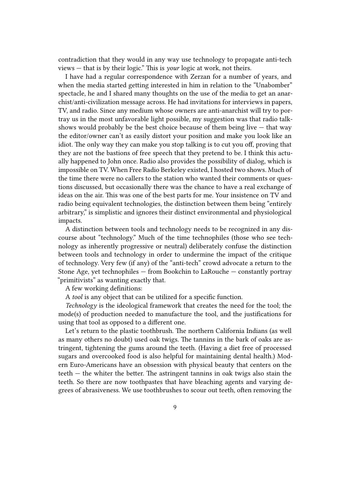contradiction that they would in any way use technology to propagate anti-tech views — that is by their logic." This is *your* logic at work, not theirs.

I have had a regular correspondence with Zerzan for a number of years, and when the media started getting interested in him in relation to the "Unabomber" spectacle, he and I shared many thoughts on the use of the media to get an anarchist/anti-civilization message across. He had invitations for interviews in papers, TV, and radio. Since any medium whose owners are anti-anarchist will try to portray us in the most unfavorable light possible, my suggestion was that radio talkshows would probably be the best choice because of them being live  $-$  that way the editor/owner can't as easily distort your position and make you look like an idiot. The only way they can make you stop talking is to cut you off, proving that they are not the bastions of free speech that they pretend to be. I think this actually happened to John once. Radio also provides the possibility of dialog, which is impossible on TV. When Free Radio Berkeley existed, I hosted two shows. Much of the time there were no callers to the station who wanted their comments or questions discussed, but occasionally there was the chance to have a real exchange of ideas on the air. This was one of the best parts for me. Your insistence on TV and radio being equivalent technologies, the distinction between them being "entirely arbitrary," is simplistic and ignores their distinct environmental and physiological impacts.

A distinction between tools and technology needs to be recognized in any discourse about "technology." Much of the time technophiles (those who see technology as inherently progressive or neutral) deliberately confuse the distinction between tools and technology in order to undermine the impact of the critique of technology. Very few (if any) of the "anti-tech" crowd advocate a return to the Stone Age, yet technophiles — from Bookchin to LaRouche — constantly portray "primitivists" as wanting exactly that.

A few working definitions:

A *tool* is any object that can be utilized for a specific function.

*Technology* is the ideological framework that creates the need for the tool; the mode(s) of production needed to manufacture the tool, and the justifications for using that tool as opposed to a different one.

Let's return to the plastic toothbrush. The northern California Indians (as well as many others no doubt) used oak twigs. The tannins in the bark of oaks are astringent, tightening the gums around the teeth. (Having a diet free of processed sugars and overcooked food is also helpful for maintaining dental health.) Modern Euro-Americans have an obsession with physical beauty that centers on the teeth — the whiter the better. The astringent tannins in oak twigs also stain the teeth. So there are now toothpastes that have bleaching agents and varying degrees of abrasiveness. We use toothbrushes to scour out teeth, often removing the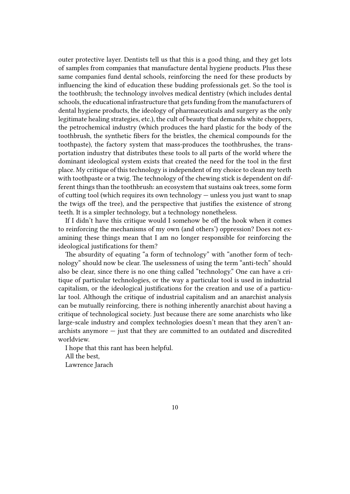outer protective layer. Dentists tell us that this is a good thing, and they get lots of samples from companies that manufacture dental hygiene products. Plus these same companies fund dental schools, reinforcing the need for these products by influencing the kind of education these budding professionals get. So the tool is the toothbrush; the technology involves medical dentistry (which includes dental schools, the educational infrastructure that gets funding from the manufacturers of dental hygiene products, the ideology of pharmaceuticals and surgery as the only legitimate healing strategies, etc.), the cult of beauty that demands white choppers, the petrochemical industry (which produces the hard plastic for the body of the toothbrush, the synthetic fibers for the bristles, the chemical compounds for the toothpaste), the factory system that mass-produces the toothbrushes, the transportation industry that distributes these tools to all parts of the world where the dominant ideological system exists that created the need for the tool in the first place. My critique of this technology is independent of my choice to clean my teeth with toothpaste or a twig. The technology of the chewing stick is dependent on different things than the toothbrush: an ecosystem that sustains oak trees, some form of cutting tool (which requires its own technology — unless you just want to snap the twigs off the tree), and the perspective that justifies the existence of strong teeth. It is a simpler technology, but a technology nonetheless.

If I didn't have this critique would I somehow be off the hook when it comes to reinforcing the mechanisms of my own (and others') oppression? Does not examining these things mean that I am no longer responsible for reinforcing the ideological justifications for them?

The absurdity of equating "a form of technology" with "another form of technology" should now be clear. The uselessness of using the term "anti-tech" should also be clear, since there is no one thing called "technology." One can have a critique of particular technologies, or the way a particular tool is used in industrial capitalism, or the ideological justifications for the creation and use of a particular tool. Although the critique of industrial capitalism and an anarchist analysis can be mutually reinforcing, there is nothing inherently anarchist about having a critique of technological society. Just because there are some anarchists who like large-scale industry and complex technologies doesn't mean that they aren't anarchists anymore — just that they are committed to an outdated and discredited worldview.

I hope that this rant has been helpful. All the best, Lawrence Jarach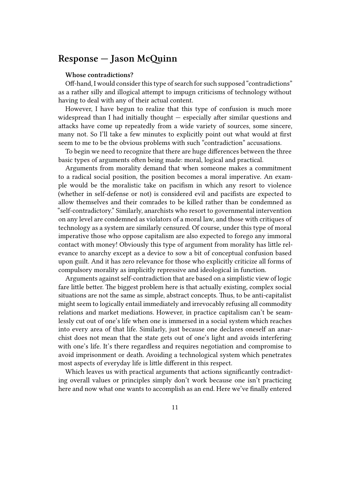## **Response — Jason McQuinn**

#### **Whose contradictions?**

Off-hand, I would consider this type of search for such supposed "contradictions" as a rather silly and illogical attempt to impugn criticisms of technology without having to deal with any of their actual content.

However, I have begun to realize that this type of confusion is much more widespread than I had initially thought — especially after similar questions and attacks have come up repeatedly from a wide variety of sources, some sincere, many not. So I'll take a few minutes to explicitly point out what would at first seem to me to be the obvious problems with such "contradiction" accusations.

To begin we need to recognize that there are huge differences between the three basic types of arguments often being made: moral, logical and practical.

Arguments from morality demand that when someone makes a commitment to a radical social position, the position becomes a moral imperative. An example would be the moralistic take on pacifism in which any resort to violence (whether in self-defense or not) is considered evil and pacifists are expected to allow themselves and their comrades to be killed rather than be condemned as "self-contradictory." Similarly, anarchists who resort to governmental intervention on any level are condemned as violators of a moral law, and those with critiques of technology as a system are similarly censured. Of course, under this type of moral imperative those who oppose capitalism are also expected to forego any immoral contact with money! Obviously this type of argument from morality has little relevance to anarchy except as a device to sow a bit of conceptual confusion based upon guilt. And it has zero relevance for those who explicitly criticize all forms of compulsory morality as implicitly repressive and ideological in function.

Arguments against self-contradiction that are based on a simplistic view of logic fare little better. The biggest problem here is that actually existing, complex social situations are not the same as simple, abstract concepts. Thus, to be anti-capitalist might seem to logically entail immediately and irrevocably refusing all commodity relations and market mediations. However, in practice capitalism can't be seamlessly cut out of one's life when one is immersed in a social system which reaches into every area of that life. Similarly, just because one declares oneself an anarchist does not mean that the state gets out of one's light and avoids interfering with one's life. It's there regardless and requires negotiation and compromise to avoid imprisonment or death. Avoiding a technological system which penetrates most aspects of everyday life is little different in this respect.

Which leaves us with practical arguments that actions significantly contradicting overall values or principles simply don't work because one isn't practicing here and now what one wants to accomplish as an end. Here we've finally entered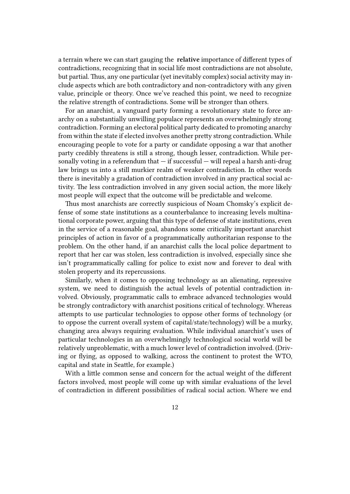a terrain where we can start gauging the **relative** importance of different types of contradictions, recognizing that in social life most contradictions are not absolute, but partial. Thus, any one particular (yet inevitably complex) social activity may include aspects which are both contradictory and non-contradictory with any given value, principle or theory. Once we've reached this point, we need to recognize the relative strength of contradictions. Some will be stronger than others.

For an anarchist, a vanguard party forming a revolutionary state to force anarchy on a substantially unwilling populace represents an overwhelmingly strong contradiction. Forming an electoral political party dedicated to promoting anarchy from within the state if elected involves another pretty strong contradiction. While encouraging people to vote for a party or candidate opposing a war that another party credibly threatens is still a strong, though lesser, contradiction. While personally voting in a referendum that  $-$  if successful  $-$  will repeal a harsh anti-drug law brings us into a still murkier realm of weaker contradiction. In other words there is inevitably a gradation of contradiction involved in any practical social activity. The less contradiction involved in any given social action, the more likely most people will expect that the outcome will be predictable and welcome.

Thus most anarchists are correctly suspicious of Noam Chomsky's explicit defense of some state institutions as a counterbalance to increasing levels multinational corporate power, arguing that this type of defense of state institutions, even in the service of a reasonable goal, abandons some critically important anarchist principles of action in favor of a programmatically authoritarian response to the problem. On the other hand, if an anarchist calls the local police department to report that her car was stolen, less contradiction is involved, especially since she isn't programmatically calling for police to exist now and forever to deal with stolen property and its repercussions.

Similarly, when it comes to opposing technology as an alienating, repressive system, we need to distinguish the actual levels of potential contradiction involved. Obviously, programmatic calls to embrace advanced technologies would be strongly contradictory with anarchist positions critical of technology. Whereas attempts to use particular technologies to oppose other forms of technology (or to oppose the current overall system of capital/state/technology) will be a murky, changing area always requiring evaluation. While individual anarchist's uses of particular technologies in an overwhelmingly technological social world will be relatively unproblematic, with a much lower level of contradiction involved. (Driving or flying, as opposed to walking, across the continent to protest the WTO, capital and state in Seattle, for example.)

With a little common sense and concern for the actual weight of the different factors involved, most people will come up with similar evaluations of the level of contradiction in different possibilities of radical social action. Where we end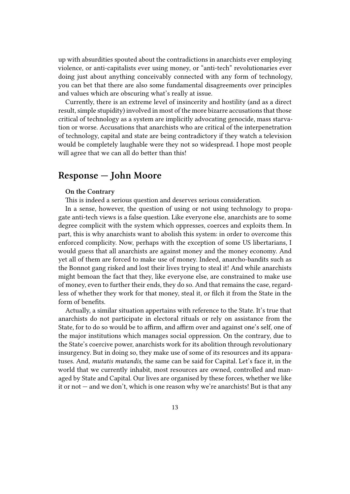up with absurdities spouted about the contradictions in anarchists ever employing violence, or anti-capitalists ever using money, or "anti-tech" revolutionaries ever doing just about anything conceivably connected with any form of technology, you can bet that there are also some fundamental disagreements over principles and values which are obscuring what's really at issue.

Currently, there is an extreme level of insincerity and hostility (and as a direct result, simple stupidity) involved in most of the more bizarre accusations that those critical of technology as a system are implicitly advocating genocide, mass starvation or worse. Accusations that anarchists who are critical of the interpenetration of technology, capital and state are being contradictory if they watch a television would be completely laughable were they not so widespread. I hope most people will agree that we can all do better than this!

## **Response — John Moore**

#### **On the Contrary**

This is indeed a serious question and deserves serious consideration.

In a sense, however, the question of using or not using technology to propagate anti-tech views is a false question. Like everyone else, anarchists are to some degree complicit with the system which oppresses, coerces and exploits them. In part, this is why anarchists want to abolish this system: in order to overcome this enforced complicity. Now, perhaps with the exception of some US libertarians, I would guess that all anarchists are against money and the money economy. And yet all of them are forced to make use of money. Indeed, anarcho-bandits such as the Bonnot gang risked and lost their lives trying to steal it! And while anarchists might bemoan the fact that they, like everyone else, are constrained to make use of money, even to further their ends, they do so. And that remains the case, regardless of whether they work for that money, steal it, or filch it from the State in the form of benefits.

Actually, a similar situation appertains with reference to the State. It's true that anarchists do not participate in electoral rituals or rely on assistance from the State, for to do so would be to affirm, and affirm over and against one's self, one of the major institutions which manages social oppression. On the contrary, due to the State's coercive power, anarchists work for its abolition through revolutionary insurgency. But in doing so, they make use of some of its resources and its apparatuses. And, *mutatis mutandis*, the same can be said for Capital. Let's face it, in the world that we currently inhabit, most resources are owned, controlled and managed by State and Capital. Our lives are organised by these forces, whether we like it or not — and we don't, which is one reason why we're anarchists! But is that any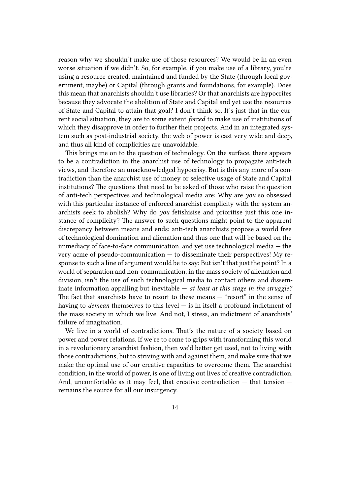reason why we shouldn't make use of those resources? We would be in an even worse situation if we didn't. So, for example, if you make use of a library, you're using a resource created, maintained and funded by the State (through local government, maybe) or Capital (through grants and foundations, for example). Does this mean that anarchists shouldn't use libraries? Or that anarchists are hypocrites because they advocate the abolition of State and Capital and yet use the resources of State and Capital to attain that goal? I don't think so. It's just that in the current social situation, they are to some extent *forced* to make use of institutions of which they disapprove in order to further their projects. And in an integrated system such as post-industrial society, the web of power is cast very wide and deep, and thus all kind of complicities are unavoidable.

This brings me on to the question of technology. On the surface, there appears to be a contradiction in the anarchist use of technology to propagate anti-tech views, and therefore an unacknowledged hypocrisy. But is this any more of a contradiction than the anarchist use of money or selective usage of State and Capital institutions? The questions that need to be asked of those who raise the question of anti-tech perspectives and technological media are: Why are *you* so obsessed with this particular instance of enforced anarchist complicity with the system anarchists seek to abolish? Why do *you* fetishisise and prioritise just this one instance of complicity? The answer to such questions might point to the apparent discrepancy between means and ends: anti-tech anarchists propose a world free of technological domination and alienation and thus one that will be based on the immediacy of face-to-face communication, and yet use technological media — the very acme of pseudo-communication — to disseminate their perspectives! My response to such a line of argument would be to say: But isn't that just the point? In a world of separation and non-communication, in the mass society of alienation and division, isn't the use of such technological media to contact others and disseminate information appalling but inevitable — *at least at this stage in the struggle?* The fact that anarchists have to resort to these means — "resort" in the sense of having to *demean* themselves to this level — is in itself a profound indictment of the mass society in which we live. And not, I stress, an indictment of anarchists' failure of imagination.

We live in a world of contradictions. That's the nature of a society based on power and power relations. If we're to come to grips with transforming this world in a revolutionary anarchist fashion, then we'd better get used, not to living with those contradictions, but to striving with and against them, and make sure that we make the optimal use of our creative capacities to overcome them. The anarchist condition, in the world of power, is one of living out lives of creative contradiction. And, uncomfortable as it may feel, that creative contradiction — that tension remains the source for all our insurgency.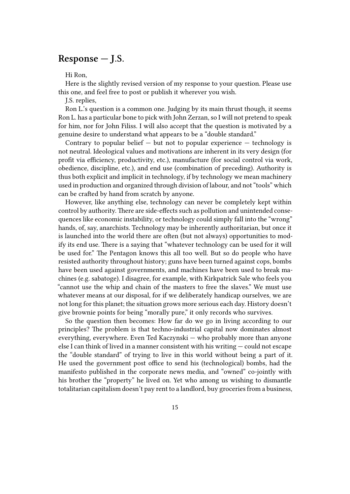## **Response — J.S.**

Hi Ron,

Here is the slightly revised version of my response to your question. Please use this one, and feel free to post or publish it wherever you wish.

J.S. replies,

Ron L.'s question is a common one. Judging by its main thrust though, it seems Ron L. has a particular bone to pick with John Zerzan, so I will not pretend to speak for him, nor for John Filiss. I will also accept that the question is motivated by a genuine desire to understand what appears to be a "double standard."

Contrary to popular belief  $-$  but not to popular experience  $-$  technology is not neutral. Ideological values and motivations are inherent in its very design (for profit via efficiency, productivity, etc.), manufacture (for social control via work, obedience, discipline, etc.), and end use (combination of preceding). Authority is thus both explicit and implicit in technology, if by technology we mean machinery used in production and organized through division of labour, and not "tools" which can be crafted by hand from scratch by anyone.

However, like anything else, technology can never be completely kept within control by authority. There are side-effects such as pollution and unintended consequences like economic instability, or technology could simply fall into the "wrong" hands, of, say, anarchists. Technology may be inherently authoritarian, but once it is launched into the world there are often (but not always) opportunities to modify its end use. There is a saying that "whatever technology can be used for it will be used for." The Pentagon knows this all too well. But so do people who have resisted authority throughout history; guns have been turned against cops, bombs have been used against governments, and machines have been used to break machines (e.g. sabatoge). I disagree, for example, with Kirkpatrick Sale who feels you "cannot use the whip and chain of the masters to free the slaves." We must use whatever means at our disposal, for if we deliberately handicap ourselves, we are not long for this planet; the situation grows more serious each day. History doesn't give brownie points for being "morally pure," it only records who survives.

So the question then becomes: How far do we go in living according to our principles? The problem is that techno-industrial capital now dominates almost everything, everywhere. Even Ted Kaczynski — who probably more than anyone else I can think of lived in a manner consistent with his writing — could not escape the "double standard" of trying to live in this world without being a part of it. He used the government post office to send his (technological) bombs, had the manifesto published in the corporate news media, and "owned" co-jointly with his brother the "property" he lived on. Yet who among us wishing to dismantle totalitarian capitalism doesn't pay rent to a landlord, buy groceries from a business,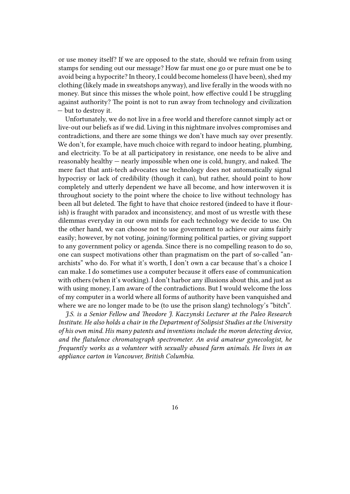or use money itself? If we are opposed to the state, should we refrain from using stamps for sending out our message? How far must one go or pure must one be to avoid being a hypocrite? In theory, I could become homeless (I have been), shed my clothing (likely made in sweatshops anyway), and live ferally in the woods with no money. But since this misses the whole point, how effective could I be struggling against authority? The point is not to run away from technology and civilization — but to destroy it.

Unfortunately, we do not live in a free world and therefore cannot simply act or live-out our beliefs as if we did. Living in this nightmare involves compromises and contradictions, and there are some things we don't have much say over presently. We don't, for example, have much choice with regard to indoor heating, plumbing, and electricity. To be at all participatory in resistance, one needs to be alive and reasonably healthy — nearly impossible when one is cold, hungry, and naked. The mere fact that anti-tech advocates use technology does not automatically signal hypocrisy or lack of credibility (though it can), but rather, should point to how completely and utterly dependent we have all become, and how interwoven it is throughout society to the point where the choice to live without technology has been all but deleted. The fight to have that choice restored (indeed to have it flourish) is fraught with paradox and inconsistency, and most of us wrestle with these dilemmas everyday in our own minds for each technology we decide to use. On the other hand, we can choose not to use government to achieve our aims fairly easily; however, by not voting, joining/forming political parties, or giving support to any government policy or agenda. Since there is no compelling reason to do so, one can suspect motivations other than pragmatism on the part of so-called "anarchists" who do. For what it's worth, I don't own a car because that's a choice I can make. I do sometimes use a computer because it offers ease of communication with others (when it's working). I don't harbor any illusions about this, and just as with using money, I am aware of the contradictions. But I would welcome the loss of my computer in a world where all forms of authority have been vanquished and where we are no longer made to be (to use the prison slang) technology's "bitch".

*J.S. is a Senior Fellow and Theodore J. Kaczynski Lecturer at the Paleo Research Institute. He also holds a chair in the Department of Solipsist Studies at the University of his own mind. His many patents and inventions include the moron detecting device, and the flatulence chromatograph spectrometer. An avid amateur gynecologist, he frequently works as a volunteer with sexually abused farm animals. He lives in an appliance carton in Vancouver, British Columbia.*